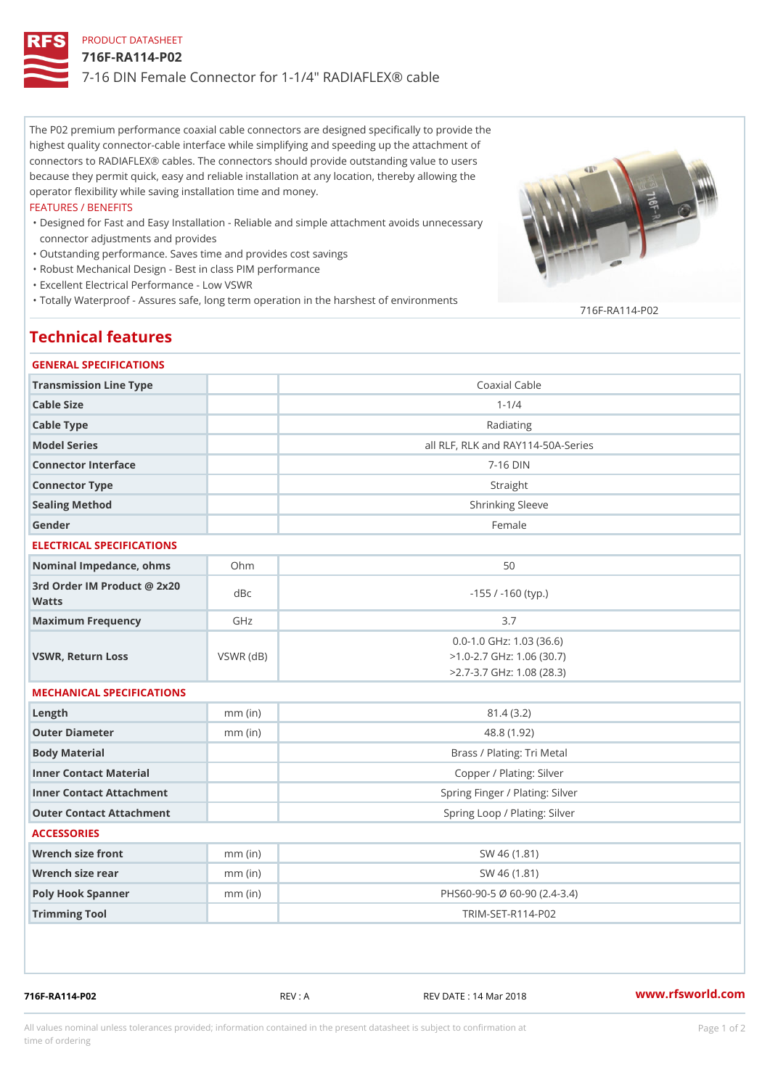# PRODUCT DATASHEET 716F-RA114-P02 7-16 DIN Female Connector for 1-1/4" RADIAFLEX® cable

The P02 premium performance coaxial cable connectors are designed specifically to provide the highest quality connector-cable interface while simplifying and speeding up the attachment of connectors to RADIAFLEX® cables. The connectors should provide outstanding value to users because they permit quick, easy and reliable installation at any location, thereby allowing the operator flexibility while saving installation time and money.

#### FEATURES / BENEFITS

- Designed for Fast and Easy Installation Reliable and simple attachment avoids unnecessary " connector adjustments and provides
- "Outstanding performance. Saves time and provides cost savings
- "Robust Mechanical Design Best in class PIM performance
- "Excellent Electrical Performance Low VSWR
- "Totally Waterproof Assures safe, long term operation in the harshest of environments 716F-RA114-P02

# Technical features

### GENERAL SPECIFICATIONS

| Transmission Line Type                   |                 | Coaxial Cable                                                                                  |
|------------------------------------------|-----------------|------------------------------------------------------------------------------------------------|
| Cable Size                               |                 | $1 - 1/4$                                                                                      |
| Cable Type                               |                 | Radiating                                                                                      |
| Model Series                             |                 | all RLF, RLK and RAY114-50A-Series                                                             |
| Connector Interface                      |                 | $7 - 16$ DIN                                                                                   |
| Connector Type                           |                 | Straight                                                                                       |
| Sealing Method                           |                 | Shrinking Sleeve                                                                               |
| Gender                                   |                 | Female                                                                                         |
| ELECTRICAL SPECIFICATIONS                |                 |                                                                                                |
| Nominal Impedance, ohins Ohm             |                 | 50                                                                                             |
| 3rd Order IM Product @ 2x20 dBc<br>Watts |                 | $-155$ / $-160$ (typ.)                                                                         |
| Maximum Frequency                        | GHz             | 3.7                                                                                            |
| VSWR, Return Loss                        | $VSWR$ ( $dB$ ) | $0.0 - 1.0$ GHz: 1.03 (36.6)<br>$>1.0 - 2.7$ GHz: 1.06 (30.7)<br>$>2.7 - 3.7$ GHz: 1.08 (28.3) |
| MECHANICAL SPECIFICATIONS                |                 |                                                                                                |
| $L$ ength                                | $mm$ (in)       | 81.4(3.2)                                                                                      |
| Outer Diameter                           | $mm$ (in)       | 48.8 (1.92)                                                                                    |
| Body Material                            |                 | Brass / Plating: Tri Metal                                                                     |
| Inner Contact Material                   |                 | Copper / Plating: Silver                                                                       |
| Inner Contact Attachment                 |                 | Spring Finger / Plating: Silver                                                                |
| Outer Contact Attachment                 |                 | Spring Loop / Plating: Silver                                                                  |
| <b>ACCESSORIES</b>                       |                 |                                                                                                |
| Wrench size front                        | $mm$ (in)       | SW 46 (1.81)                                                                                   |
| Wrench size rear                         | $mm$ (in)       | SW 46 (1.81)                                                                                   |
| Poly Hook Spanner                        | $mm$ (in)       | PHS60-90-5 Ø 60-90 (2.4-3.4)                                                                   |
| Trimming Tool                            |                 | TRIM-SET-R114-P02                                                                              |
|                                          |                 |                                                                                                |

716F-RA114-P02 REV : A REV DATE : 14 Mar 2018 [www.](https://www.rfsworld.com)rfsworld.com